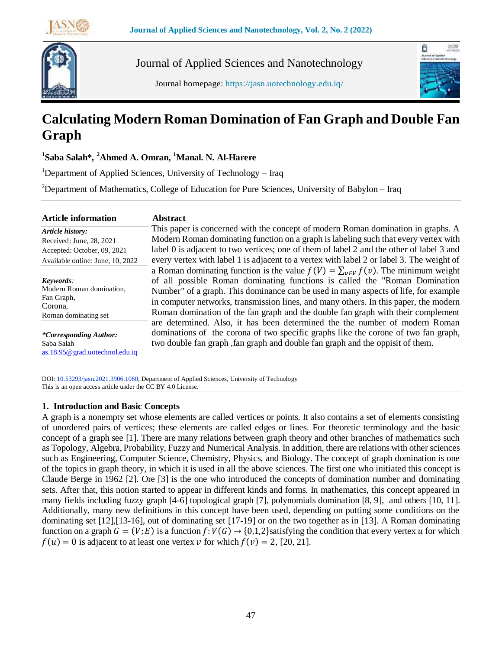



Journal of Applied Sciences and Nanotechnology

Journal homepage: https://jasn.uotechnology.edu.iq/



# **Calculating Modern Roman Domination of Fan Graph and Double Fan Graph**

**1 Saba Salah\****,* **<sup>2</sup>Ahmed A. Omran, <sup>1</sup>Manal. N. Al-Harere**

<sup>1</sup>Department of Applied Sciences, University of Technology – Iraq

<sup>2</sup>Department of Mathematics, College of Education for Pure Sciences, University of Babylon – Iraq

#### **Abstract**

*Article history:* Received: June, 28, 2021 Accepted: October, 09, 2021 Available online: June, 10, 2022 *Keywords:*

Modern Roman domination, Fan Graph, Corona, Roman dominating set

*\*Corresponding Author:* Saba Salah [as.18.95@grad.uotechnol.edu.iq](mailto:as.18.95@grad.uotechnol.edu.iq)

This paper is concerned with the concept of modern Roman domination in graphs. A Modern Roman dominating function on a graph is labeling such that every vertex with label 0 is adjacent to two vertices; one of them of label 2 and the other of label 3 and every vertex with label 1 is adjacent to a vertex with label 2 or label 3. The weight of a Roman dominating function is the value  $f(V) = \sum_{v \in V} f(v)$ . The minimum weight of all possible Roman dominating functions is called the "Roman Domination Number" of a graph. This dominance can be used in many aspects of life, for example in computer networks, transmission lines, and many others. In this paper, the modern Roman domination of the fan graph and the double fan graph with their complement are determined. Also, it has been determined the the number of modern Roman dominations of the corona of two specific graphs like the corone of two fan graph, two double fan graph ,fan graph and double fan graph and the oppisit of them.

DOI: 10.53293/jasn.2021.3906.1060, Department of Applied Sciences, University of Technology This is an open access article under the CC BY 4.0 License.

## **1. Introduction and Basic Concepts**

A graph is a nonempty set whose elements are called vertices or points. It also contains a set of elements consisting of unordered pairs of vertices; these elements are called edges or lines. For theoretic terminology and the basic concept of a graph see [1]. There are many relations between graph theory and other branches of mathematics such as Topology, Algebra, Probability, Fuzzy and Numerical Analysis. In addition, there are relations with other sciences such as Engineering, Computer Science, Chemistry, Physics, and Biology. The concept of graph domination is one of the topics in graph theory, in which it is used in all the above sciences. The first one who initiated this concept is Claude Berge in 1962 [2]. Ore [3] is the one who introduced the concepts of domination number and dominating sets. After that, this notion started to appear in different kinds and forms. In mathematics, this concept appeared in many fields including fuzzy graph [4-6] topological graph [7], polynomials domination [8, 9], and others [10, 11]. Additionally, many new definitions in this concept have been used, depending on putting some conditions on the dominating set [12],[13-16], out of dominating set [17-19] or on the two together as in [13]. A Roman dominating function on a graph  $G = (V;E)$  is a function  $f: V(G) \to \{0,1,2\}$ satisfying the condition that every vertex u for which  $f(u) = 0$  is adjacent to at least one vertex v for which  $f(v) = 2$ , [20, 21].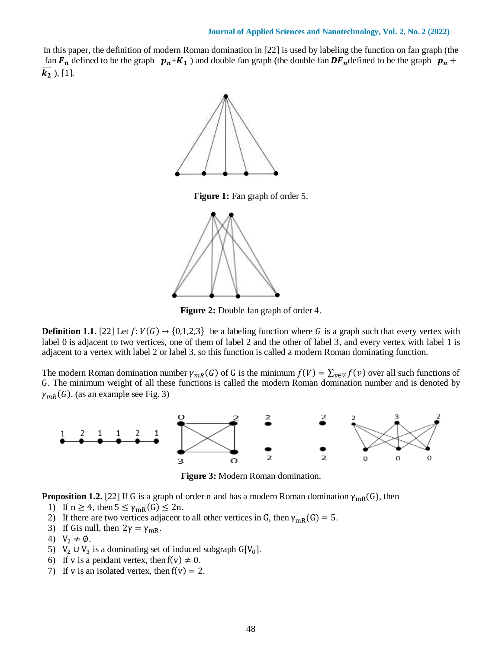In this paper, the definition of modern Roman domination in [22] is used by labeling the function on fan graph (the fan  $F_n$  defined to be the graph  $p_n+K_1$  ) and double fan graph (the double fan  $DF_n$  defined to be the graph  $p_n +$  $\overline{k_2}$ ), [1].



**Figure 1:** Fan graph of order 5.



**Figure 2:** Double fan graph of order 4.

**Definition 1.1.** [22] Let  $f: V(G) \to \{0,1,2,3\}$  be a labeling function where G is a graph such that every vertex with label 0 is adjacent to two vertices, one of them of label 2 and the other of label 3, and every vertex with label 1 is adjacent to a vertex with label 2 or label 3, so this function is called a modern Roman dominating function.

The modern Roman domination number  $\gamma_{mR}(G)$  of G is the minimum  $f(V) = \sum_{v \in V} f(v)$  over all such functions of G. The minimum weight of all these functions is called the modern Roman domination number and is denoted by  $\gamma_{mR}(G)$ . (as an example see Fig. 3)



**Figure 3:** Modern Roman domination.

**Proposition 1.2.** [22] If G is a graph of order n and has a modern Roman domination  $\gamma_{mR}(G)$ , then

- 1) If  $n \geq 4$ , then  $5 \leq \gamma_{mR}(G) \leq 2n$ .
- 2) If there are two vertices adjacent to all other vertices in G, then  $\gamma_{mR}(G) = 5$ .
- 3) If Gis null, then  $2\gamma = \gamma_{\text{mR}}$ .
- 4)  $V_2 \neq \emptyset$ .
- 5)  $V_2 \cup V_3$  is a dominating set of induced subgraph  $G[V_0]$ .
- 6) If v is a pendant vertex, then  $f(v) \neq 0$ .
- 7) If v is an isolated vertex, then  $f(v) = 2$ .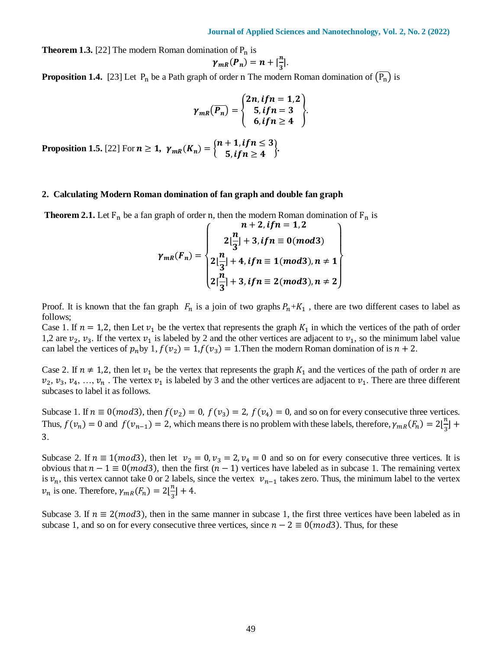**Theorem 1.3.** [22] The modern Roman domination of  $P_n$  is

$$
\gamma_{mR}(P_n) = n + \left[\frac{n}{3}\right].
$$

**Proposition 1.4.** [23] Let  $P_n$  be a Path graph of order n The modern Roman domination of  $(\overline{P_n})$  is

$$
\gamma_{mR}(\overline{P_n}) = \begin{cases} 2n, if n = 1, 2 \\ 5, if n = 3 \\ 6, if n \ge 4 \end{cases}.
$$

**Proposition 1.5.** [22] For  $n \ge 1$ ,  $\gamma_{mR}(K_n) = \begin{cases} n + 1, & \text{if } n \le 3 \\ 5, & \text{if } n > 4 \end{cases}$  $\{5, if n \ge 4\}$ 

#### **2. Calculating Modern Roman domination of fan graph and double fan graph**

**Theorem 2.1.** Let  $F_n$  be a fan graph of order n, then the modern Roman domination of  $F_n$  is

$$
\gamma_{mR}(F_n) = \begin{cases}\n n+2, if n = 1, 2 \\
2\lfloor \frac{n}{3} \rfloor + 3, if n \equiv 0 \pmod{3} \\
2\lfloor \frac{n}{3} \rfloor + 4, if n \equiv 1 \pmod{3}, n \neq 1 \\
2\lceil \frac{n}{3} \rceil + 3, if n \equiv 2 \pmod{3}, n \neq 2\n\end{cases}
$$

Proof. It is known that the fan graph  $F_n$  is a join of two graphs  $P_n+K_1$ , there are two different cases to label as follows;

Case 1. If  $n = 1,2$ , then Let  $v_1$  be the vertex that represents the graph  $K_1$  in which the vertices of the path of order 1,2 are  $v_2$ ,  $v_3$ . If the vertex  $v_1$  is labeled by 2 and the other vertices are adjacent to  $v_1$ , so the minimum label value can label the vertices of  $p_n$  by  $1, f(v_2) = 1, f(v_3) = 1$ . Then the modern Roman domination of is  $n + 2$ .

Case 2. If  $n \neq 1,2$ , then let  $v_1$  be the vertex that represents the graph  $K_1$  and the vertices of the path of order *n* are  $v_2, v_3, v_4, ..., v_n$ . The vertex  $v_1$  is labeled by 3 and the other vertices are adjacent to  $v_1$ . There are three different subcases to label it as follows.

Subcase 1. If  $n \equiv 0(mod3)$ , then  $f(v_2) = 0$ ,  $f(v_3) = 2$ ,  $f(v_4) = 0$ , and so on for every consecutive three vertices. Thus,  $f(v_n) = 0$  and  $f(v_{n-1}) = 2$ , which means there is no problem with these labels, therefore,  $\gamma_{mR}(F_n) = 2\left\lfloor\frac{n}{2}\right\rfloor$  $\frac{n}{3}$  + 3.

Subcase 2. If  $n \equiv 1 \pmod{3}$ , then let  $v_2 = 0$ ,  $v_3 = 2$ ,  $v_4 = 0$  and so on for every consecutive three vertices. It is obvious that  $n - 1 \equiv 0 \pmod{3}$ , then the first  $(n - 1)$  vertices have labeled as in subcase 1. The remaining vertex is  $v_n$ , this vertex cannot take 0 or 2 labels, since the vertex  $v_{n-1}$  takes zero. Thus, the minimum label to the vertex  $\nu_n$  is one. Therefore,  $\gamma_{mR}(F_n) = 2\left\lfloor \frac{n}{3} \right\rfloor$  $\frac{n}{3}$  + 4.

Subcase 3. If  $n \equiv 2 \pmod{3}$ , then in the same manner in subcase 1, the first three vertices have been labeled as in subcase 1, and so on for every consecutive three vertices, since  $n - 2 \equiv 0 \pmod{3}$ . Thus, for these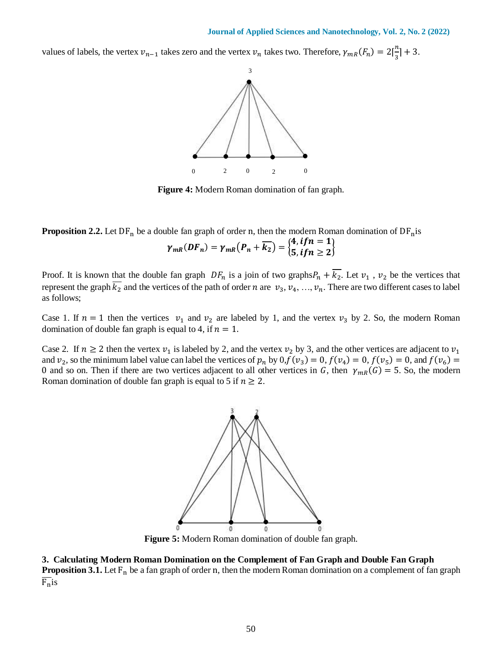values of labels, the vertex  $v_{n-1}$  takes zero and the vertex  $v_n$  takes two. Therefore,  $\gamma_{mR}(F_n) = 2\left[\frac{n}{3}\right]$  $\frac{\pi}{3}$  + 3.



**Figure 4:** Modern Roman domination of fan graph.

**Proposition 2.2.** Let  $DF_n$  be a double fan graph of order n, then the modern Roman domination of  $DF_n$ is  $\gamma_{mR}(DF_n) = \gamma_{mR}(P_n + \overline{k_2}) = \begin{cases} 4, if n = 1 \\ 5, if n > 2 \end{cases}$  $5, if n \geq 2$ 

Proof. It is known that the double fan graph  $DF_n$  is a join of two graphs  $P_n + \overline{k_2}$ . Let  $v_1$ ,  $v_2$  be the vertices that represent the graph  $\overline{k_2}$  and the vertices of the path of order *n* are  $v_3, v_4, ..., v_n$ . There are two different cases to label as follows;

Case 1. If  $n = 1$  then the vertices  $v_1$  and  $v_2$  are labeled by 1, and the vertex  $v_3$  by 2. So, the modern Roman domination of double fan graph is equal to 4, if  $n = 1$ .

Case 2. If  $n \ge 2$  then the vertex  $v_1$  is labeled by 2, and the vertex  $v_2$  by 3, and the other vertices are adjacent to  $v_1$ and  $v_2$ , so the minimum label value can label the vertices of  $p_n$  by  $0, f(v_3) = 0, f(v_4) = 0, f(v_5) = 0$ , and  $f(v_6) = 0$ 0 and so on. Then if there are two vertices adjacent to all other vertices in G, then  $\gamma_{mR}(G) = 5$ . So, the modern Roman domination of double fan graph is equal to 5 if  $n \geq 2$ .



**Figure 5:** Modern Roman domination of double fan graph.

**3. Calculating Modern Roman Domination on the Complement of Fan Graph and Double Fan Graph**

**Proposition 3.1.** Let F<sub>n</sub> be a fan graph of order n, then the modern Roman domination on a complement of fan graph  $F_n$ is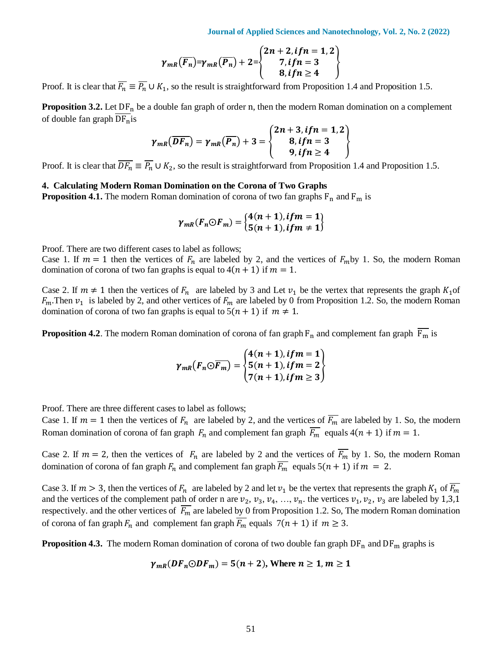**Journal of Applied Sciences and Nanotechnology, Vol. 2, No. 2 (2022)**

$$
\gamma_{mR}(\overline{F_n}) = \gamma_{mR}(\overline{P_n}) + 2 = \begin{cases} 2n + 2, & \text{if } n = 1, 2 \\ 7, & \text{if } n = 3 \\ 8, & \text{if } n \ge 4 \end{cases}
$$

Proof. It is clear that  $\overline{F_n} \equiv \overline{P_n} \cup K_1$ , so the result is straightforward from Proposition 1.4 and Proposition 1.5.

**Proposition 3.2.** Let  $DF_n$  be a double fan graph of order n, then the modern Roman domination on a complement of double fan graph  $DF_n$ is

$$
\gamma_{mR}(\overline{DF_n})=\gamma_{mR}(\overline{P_n})+3=\begin{cases}2n+3, if n=1,2\\8, if n=3\\9, if n\geq 4\end{cases}
$$

Proof. It is clear that  $\overline{DF_n} \equiv \overline{P_n} \cup K_2$ , so the result is straightforward from Proposition 1.4 and Proposition 1.5.

#### **4. Calculating Modern Roman Domination on the Corona of Two Graphs**

**Proposition 4.1.** The modern Roman domination of corona of two fan graphs  $F_n$  and  $F_m$  is

$$
\gamma_{mR}(F_n \odot F_m) = \begin{cases} 4(n+1), if m = 1 \\ 5(n+1), if m \neq 1 \end{cases}
$$

Proof. There are two different cases to label as follows;

Case 1. If  $m = 1$  then the vertices of  $F_n$  are labeled by 2, and the vertices of  $F_m$  by 1. So, the modern Roman domination of corona of two fan graphs is equal to  $4(n + 1)$  if  $m = 1$ .

Case 2. If  $m \neq 1$  then the vertices of  $F_n$  are labeled by 3 and Let  $v_1$  be the vertex that represents the graph  $K_1$  of  $F_m$ . Then  $v_1$  is labeled by 2, and other vertices of  $F_m$  are labeled by 0 from Proposition 1.2. So, the modern Roman domination of corona of two fan graphs is equal to  $5(n + 1)$  if  $m \neq 1$ .

**Proposition 4.2**. The modern Roman domination of corona of fan graph  $F_n$  and complement fan graph  $\overline{F_m}$  is

$$
\gamma_{mR}(F_n \odot \overline{F_m}) = \begin{cases} 4(n+1), if m = 1 \\ 5(n+1), if m = 2 \\ 7(n+1), if m \geq 3 \end{cases}
$$

Proof. There are three different cases to label as follows;

Case 1. If  $m = 1$  then the vertices of  $F_n$  are labeled by 2, and the vertices of  $\overline{F_m}$  are labeled by 1. So, the modern Roman domination of corona of fan graph  $F_n$  and complement fan graph  $\overline{F_m}$  equals  $4(n + 1)$  if  $m = 1$ .

Case 2. If  $m = 2$ , then the vertices of  $F_n$  are labeled by 2 and the vertices of  $\overline{F_m}$  by 1. So, the modern Roman domination of corona of fan graph  $F_n$  and complement fan graph  $\overline{F_m}$  equals  $5(n + 1)$  if  $m = 2$ .

Case 3. If  $m > 3$ , then the vertices of  $F_n$  are labeled by 2 and let  $v_1$  be the vertex that represents the graph  $K_1$  of  $\overline{F_m}$ and the vertices of the complement path of order n are  $v_2$ ,  $v_3$ ,  $v_4$ , ...,  $v_n$ , the vertices  $v_1$ ,  $v_2$ ,  $v_3$  are labeled by 1,3,1 respectively. and the other vertices of  $\overline{F_m}$  are labeled by 0 from Proposition 1.2. So, The modern Roman domination of corona of fan graph  $F_n$  and complement fan graph  $\overline{F_m}$  equals  $7(n + 1)$  if  $m \geq 3$ .

**Proposition 4.3.** The modern Roman domination of corona of two double fan graph  $DF_n$  and  $DF_m$  graphs is

$$
\gamma_{mR}(DF_n \odot DF_m) = 5(n+2)
$$
, Where  $n \ge 1, m \ge 1$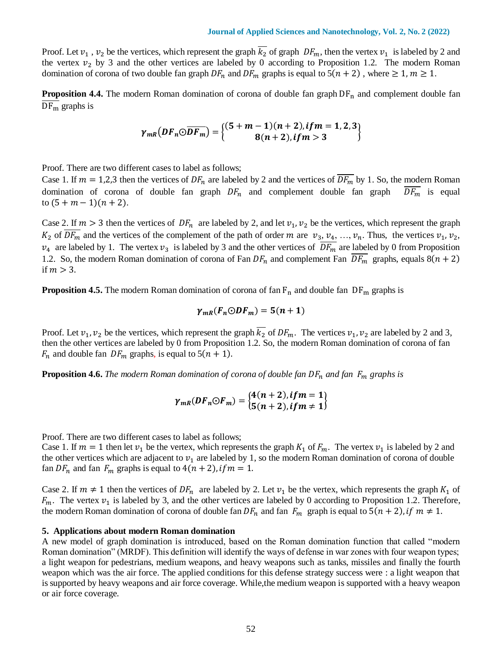Proof. Let  $v_1$ ,  $v_2$  be the vertices, which represent the graph  $\overline{k_2}$  of graph  $DF_m$ , then the vertex  $v_1$  is labeled by 2 and the vertex  $v_2$  by 3 and the other vertices are labeled by 0 according to Proposition 1.2. The modern Roman domination of corona of two double fan graph  $DF_n$  and  $DF_m$  graphs is equal to  $5(n + 2)$ , where  $\ge 1$ ,  $m \ge 1$ .

**Proposition 4.4.** The modern Roman domination of corona of double fan graph DF<sub>n</sub> and complement double fan  $DF_m$  graphs is

$$
\gamma_{mR}(DF_{n} \odot \overline{DF_{m}}) = \begin{cases} (5 + m - 1)(n + 2), if m = 1, 2, 3 \\ 8(n + 2), if m > 3 \end{cases}
$$

Proof. There are two different cases to label as follows;

Case 1. If  $m = 1,2,3$  then the vertices of  $DF_n$  are labeled by 2 and the vertices of  $\overline{DF_m}$  by 1. So, the modern Roman domination of corona of double fan graph  $DF_n$  and complement double fan graph  $\overline{DF_m}$  is equal to  $(5 + m - 1)(n + 2)$ .

Case 2. If  $m > 3$  then the vertices of  $DF_n$  are labeled by 2, and let  $v_1, v_2$  be the vertices, which represent the graph  $K_2$  of  $\overline{DF_m}$  and the vertices of the complement of the path of order *m* are  $v_3, v_4, ..., v_n$ . Thus, the vertices  $v_1, v_2$ ,  $v_4$  are labeled by 1. The vertex  $v_3$  is labeled by 3 and the other vertices of  $\overline{DF_m}$  are labeled by 0 from Proposition 1.2. So, the modern Roman domination of corona of Fan  $DF_n$  and complement Fan  $\overline{DF_m}$  graphs, equals  $8(n + 2)$ if  $m > 3$ .

**Proposition 4.5.** The modern Roman domination of corona of fan  $F_n$  and double fan  $DF_m$  graphs is

$$
\gamma_{mR}(F_n \odot DF_m) = 5(n+1)
$$

Proof. Let  $v_1$ ,  $v_2$  be the vertices, which represent the graph  $\overline{k_2}$  of  $DF_m$ . The vertices  $v_1$ ,  $v_2$  are labeled by 2 and 3, then the other vertices are labeled by 0 from Proposition 1.2. So, the modern Roman domination of corona of fan  $F_n$  and double fan  $DF_m$  graphs, is equal to  $5(n + 1)$ .

**Proposition 4.6.** *The modern Roman domination of corona of double fan*  $DF_n$  *and fan*  $F_m$  *graphs is* 

$$
\gamma_{mR}(DF_n \odot F_m) = \begin{cases} 4(n+2), if m = 1 \\ 5(n+2), if m \neq 1 \end{cases}
$$

Proof. There are two different cases to label as follows;

Case 1. If  $m = 1$  then let  $v_1$  be the vertex, which represents the graph  $K_1$  of  $F_m$ . The vertex  $v_1$  is labeled by 2 and the other vertices which are adjacent to  $v_1$  are labeled by 1, so the modern Roman domination of corona of double fan  $DF_n$  and fan  $F_m$  graphs is equal to  $4(n + 2)$ , if  $m = 1$ .

Case 2. If  $m \neq 1$  then the vertices of  $DF_n$  are labeled by 2. Let  $v_1$  be the vertex, which represents the graph  $K_1$  of  $F_m$ . The vertex  $v_1$  is labeled by 3, and the other vertices are labeled by 0 according to Proposition 1.2. Therefore, the modern Roman domination of corona of double fan  $DF_n$  and fan  $F_m$  graph is equal to  $5(n + 2)$ , if  $m \neq 1$ .

#### **5. Applications about modern Roman domination**

A new model of graph domination is introduced, based on the Roman domination function that called "modern Roman domination" (MRDF). This definition will identify the ways of defense in war zones with four weapon types; a light weapon for pedestrians, medium weapons, and heavy weapons such as tanks, missiles and finally the fourth weapon which was the air force. The applied conditions for this defense strategy success were : a light weapon that is supported by heavy weapons and air force coverage. While,the medium weapon is supported with a heavy weapon or air force coverage.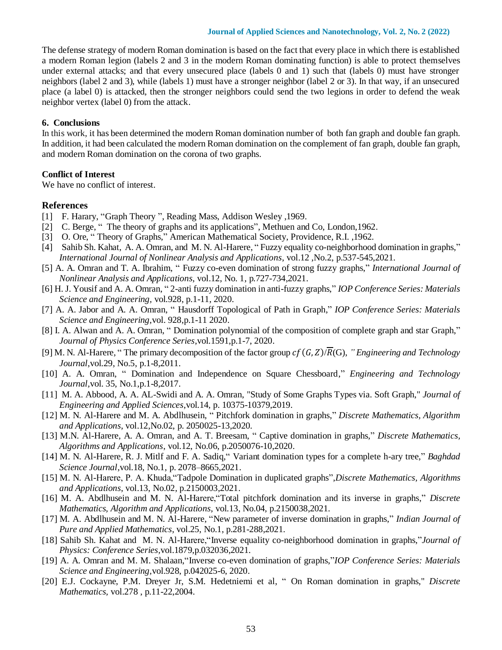The defense strategy of modern Roman domination is based on the fact that every place in which there is established a modern Roman legion (labels 2 and 3 in the modern Roman dominating function) is able to protect themselves under external attacks; and that every unsecured place (labels 0 and 1) such that (labels 0) must have stronger neighbors (label 2 and 3), while (labels 1) must have a stronger neighbor (label 2 or 3). In that way, if an unsecured place (a label 0) is attacked, then the stronger neighbors could send the two legions in order to defend the weak neighbor vertex (label 0) from the attack.

#### **6. Conclusions**

In this work, it has been determined the modern Roman domination number of both fan graph and double fan graph. In addition, it had been calculated the modern Roman domination on the complement of fan graph, double fan graph, and modern Roman domination on the corona of two graphs.

## **Conflict of Interest**

We have no conflict of interest.

## **References**

- [1] F. Harary, "Graph Theory ", Reading Mass, Addison Wesley ,1969.
- [2] C. Berge, " The theory of graphs and its applications", Methuen and Co, London,1962.
- [3] O. Ore, " Theory of Graphs," American Mathematical Society, Providence, R.I. ,1962.
- [4] Sahib Sh. Kahat, A. A. Omran, and M. N. Al-Harere, " Fuzzy equality co-neighborhood domination in graphs," *International Journal of Nonlinear Analysis and Applications*, vol.12 ,No.2, p.537-545,2021.
- [5] A. A. Omran and T. A. Ibrahim, " Fuzzy co-even domination of strong fuzzy graphs," *International Journal of Nonlinear Analysis and Applications*, vol.12, No. 1, p.727-734,2021.
- [6] H. J. Yousif and A. A. Omran, " 2-anti fuzzy domination in anti-fuzzy graphs," *IOP Conference Series: Materials Science and Engineering,* vol.928, p.1-11, 2020.
- [7] A. A. Jabor and A. A. Omran, " Hausdorff Topological of Path in Graph," *IOP Conference Series: Materials Science and Engineering,*vol. 928,p.1-11 2020.
- [8] I. A. Alwan and A. A. Omran, " Domination polynomial of the composition of complete graph and star Graph," *Journal of Physics Conference Series*,vol.1591,p.1-7, 2020.
- [9] M. N. Al-Harere, "The primary decomposition of the factor group  $cf(G, Z)/\overline{R}(G)$ , "Engineering and Technology *Journal*,vol.29, No.5, p.1-8,2011.
- [10] A. A. Omran, " Domination and Independence on Square Chessboard," *Engineering and Technology Journal,*vol. 35, No.1,p.1-8,2017.
- [11] M. A. Abbood, A. A. AL-Swidi and A. A. Omran, "Study of Some Graphs Types via. Soft Graph," *Journal of Engineering and Applied Sciences*,vol.14, p. 10375-10379,2019.
- [12] M. N. Al-Harere and M. A. Abdlhusein, " Pitchfork domination in graphs," *Discrete Mathematics, Algorithm and Applications*, vol.12,No.02, p. 2050025-13,2020.
- [13] M.N. Al-Harere, A. A. Omran, and A. T. Breesam, " Captive domination in graphs," *Discrete Mathematics, Algorithms and Applications*, vol.12, No.06, p.2050076-10,2020.
- [14] M. N. Al-Harere, R. J. Mitlf and F. A. Sadiq," Variant domination types for a complete h-ary tree," *Baghdad Science Journal*,vol.18, No.1, p. 2078–8665,2021.
- [15] M. N. Al-Harere, P. A. Khuda,"Tadpole Domination in duplicated graphs",*Discrete Mathematics, Algorithms and Applications*, vol.13, No.02, p.2150003,2021.
- [16] M. A. Abdlhusein and M. N. Al-Harere,"Total pitchfork domination and its inverse in graphs," *Discrete Mathematics, Algorithm and Applications*, vol.13, No.04, p.2150038,2021.
- [17] M. A. Abdlhusein and M. N. Al-Harere, "New parameter of inverse domination in graphs," *Indian Journal of Pure and Applied Mathematics*, vol.25, No.1, p.281-288,2021.
- [18] Sahib Sh. Kahat and M. N. Al-Harere,"Inverse equality co-neighborhood domination in graphs,"*Journal of Physics: Conference Series,*vol.1879,p.032036,2021.
- [19] A. A. Omran and M. M. Shalaan,"Inverse co-even domination of graphs,"*IOP Conference Series: Materials Science and Engineering,*vol.928, p.042025-6, 2020.
- [20] E.J. Cockayne, P.M. Dreyer Jr, S.M. Hedetniemi et al, " On Roman domination in graphs," *Discrete Mathematics,* vol.278 , p.11-22,2004.